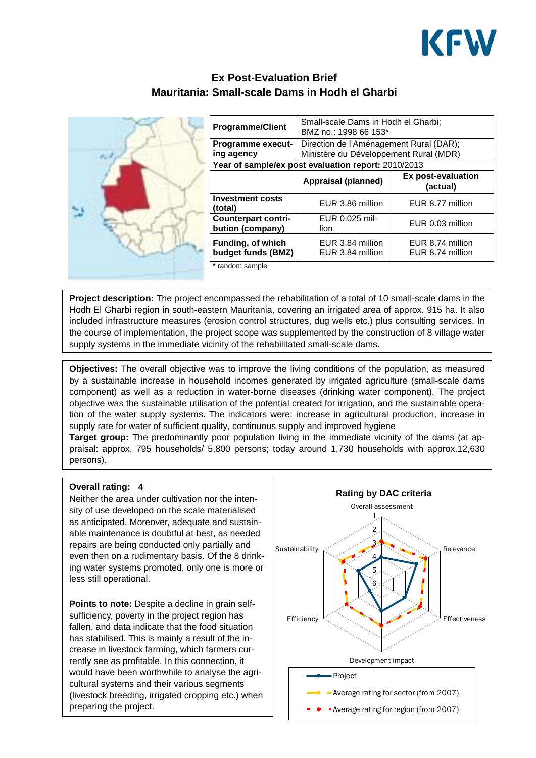

# **Ex Post-Evaluation Brief Mauritania: Small-scale Dams in Hodh el Gharbi**



| <b>Programme/Client</b>                             | Small-scale Dams in Hodh el Gharbi;<br>BMZ no.: 1998 66 153*                      |                                      |
|-----------------------------------------------------|-----------------------------------------------------------------------------------|--------------------------------------|
| <b>Programme execut-</b><br>ing agency              | Direction de l'Aménagement Rural (DAR);<br>Ministère du Développement Rural (MDR) |                                      |
| Year of sample/ex post evaluation report: 2010/2013 |                                                                                   |                                      |
|                                                     | Appraisal (planned)                                                               | Ex post-evaluation<br>(actual)       |
| <b>Investment costs</b><br>(total)                  | EUR 3.86 million                                                                  | EUR 8.77 million                     |
| <b>Counterpart contri-</b><br>bution (company)      | EUR 0.025 mil-<br>lion                                                            | EUR 0.03 million                     |
| <b>Funding, of which</b><br>budget funds (BMZ)      | EUR 3.84 million<br>EUR 3.84 million                                              | EUR 8.74 million<br>EUR 8.74 million |
| * random sample                                     |                                                                                   |                                      |

\* random sample

**Project description:** The project encompassed the rehabilitation of a total of 10 small-scale dams in the Hodh El Gharbi region in south-eastern Mauritania, covering an irrigated area of approx. 915 ha. It also included infrastructure measures (erosion control structures, dug wells etc.) plus consulting services. In the course of implementation, the project scope was supplemented by the construction of 8 village water supply systems in the immediate vicinity of the rehabilitated small-scale dams.

**Objectives:** The overall objective was to improve the living conditions of the population, as measured by a sustainable increase in household incomes generated by irrigated agriculture (small-scale dams component) as well as a reduction in water-borne diseases (drinking water component). The project objective was the sustainable utilisation of the potential created for irrigation, and the sustainable operation of the water supply systems. The indicators were: increase in agricultural production, increase in supply rate for water of sufficient quality, continuous supply and improved hygiene

**Target group:** The predominantly poor population living in the immediate vicinity of the dams (at appraisal: approx. 795 households/ 5,800 persons; today around 1,730 households with approx.12,630 persons).

#### **Overall rating: 4**

Neither the area under cultivation nor the intensity of use developed on the scale materialised as anticipated. Moreover, adequate and sustainable maintenance is doubtful at best, as needed repairs are being conducted only partially and even then on a rudimentary basis. Of the 8 drinking water systems promoted, only one is more or less still operational.

**Points to note:** Despite a decline in grain selfsufficiency, poverty in the project region has fallen, and data indicate that the food situation has stabilised. This is mainly a result of the increase in livestock farming, which farmers currently see as profitable. In this connection, it would have been worthwhile to analyse the agricultural systems and their various segments (livestock breeding, irrigated cropping etc.) when preparing the project.

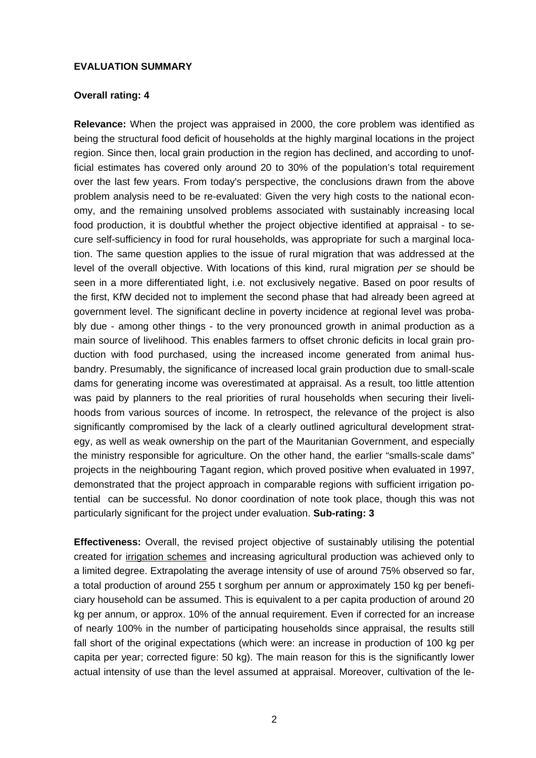## **EVALUATION SUMMARY**

## **Overall rating: 4**

**Relevance:** When the project was appraised in 2000, the core problem was identified as being the structural food deficit of households at the highly marginal locations in the project region. Since then, local grain production in the region has declined, and according to unofficial estimates has covered only around 20 to 30% of the population's total requirement over the last few years. From today's perspective, the conclusions drawn from the above problem analysis need to be re-evaluated: Given the very high costs to the national economy, and the remaining unsolved problems associated with sustainably increasing local food production, it is doubtful whether the project objective identified at appraisal - to secure self-sufficiency in food for rural households, was appropriate for such a marginal location. The same question applies to the issue of rural migration that was addressed at the level of the overall objective. With locations of this kind, rural migration *per se* should be seen in a more differentiated light, i.e. not exclusively negative. Based on poor results of the first, KfW decided not to implement the second phase that had already been agreed at government level. The significant decline in poverty incidence at regional level was probably due - among other things - to the very pronounced growth in animal production as a main source of livelihood. This enables farmers to offset chronic deficits in local grain production with food purchased, using the increased income generated from animal husbandry. Presumably, the significance of increased local grain production due to small-scale dams for generating income was overestimated at appraisal. As a result, too little attention was paid by planners to the real priorities of rural households when securing their livelihoods from various sources of income. In retrospect, the relevance of the project is also significantly compromised by the lack of a clearly outlined agricultural development strategy, as well as weak ownership on the part of the Mauritanian Government, and especially the ministry responsible for agriculture. On the other hand, the earlier "smalls-scale dams" projects in the neighbouring Tagant region, which proved positive when evaluated in 1997, demonstrated that the project approach in comparable regions with sufficient irrigation potential can be successful. No donor coordination of note took place, though this was not particularly significant for the project under evaluation. **Sub-rating: 3**

**Effectiveness:** Overall, the revised project objective of sustainably utilising the potential created for irrigation schemes and increasing agricultural production was achieved only to a limited degree. Extrapolating the average intensity of use of around 75% observed so far, a total production of around 255 t sorghum per annum or approximately 150 kg per beneficiary household can be assumed. This is equivalent to a per capita production of around 20 kg per annum, or approx. 10% of the annual requirement. Even if corrected for an increase of nearly 100% in the number of participating households since appraisal, the results still fall short of the original expectations (which were: an increase in production of 100 kg per capita per year; corrected figure: 50 kg). The main reason for this is the significantly lower actual intensity of use than the level assumed at appraisal. Moreover, cultivation of the le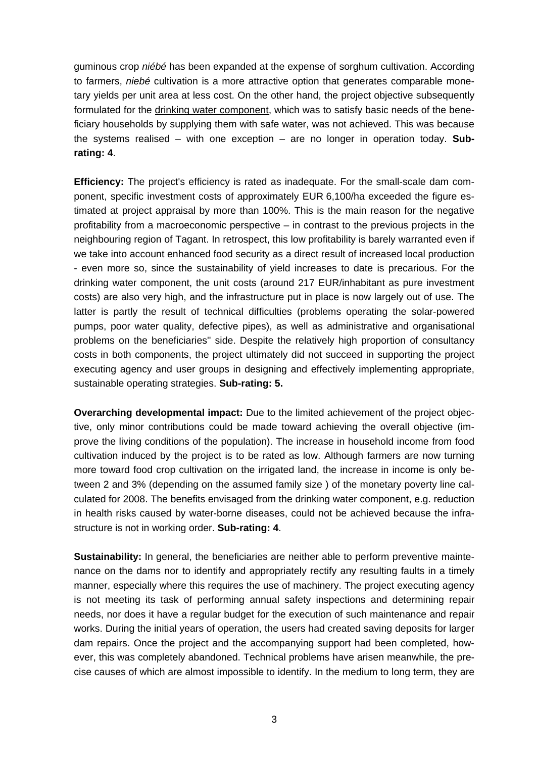guminous crop *niébé* has been expanded at the expense of sorghum cultivation. According to farmers, *niebé* cultivation is a more attractive option that generates comparable monetary yields per unit area at less cost. On the other hand, the project objective subsequently formulated for the drinking water component, which was to satisfy basic needs of the beneficiary households by supplying them with safe water, was not achieved. This was because the systems realised – with one exception – are no longer in operation today. **Subrating: 4**.

**Efficiency:** The project's efficiency is rated as inadequate. For the small-scale dam component, specific investment costs of approximately EUR 6,100/ha exceeded the figure estimated at project appraisal by more than 100%. This is the main reason for the negative profitability from a macroeconomic perspective – in contrast to the previous projects in the neighbouring region of Tagant. In retrospect, this low profitability is barely warranted even if we take into account enhanced food security as a direct result of increased local production - even more so, since the sustainability of yield increases to date is precarious. For the drinking water component, the unit costs (around 217 EUR/inhabitant as pure investment costs) are also very high, and the infrastructure put in place is now largely out of use. The latter is partly the result of technical difficulties (problems operating the solar-powered pumps, poor water quality, defective pipes), as well as administrative and organisational problems on the beneficiaries'' side. Despite the relatively high proportion of consultancy costs in both components, the project ultimately did not succeed in supporting the project executing agency and user groups in designing and effectively implementing appropriate, sustainable operating strategies. **Sub-rating: 5.** 

**Overarching developmental impact:** Due to the limited achievement of the project objective, only minor contributions could be made toward achieving the overall objective (improve the living conditions of the population). The increase in household income from food cultivation induced by the project is to be rated as low. Although farmers are now turning more toward food crop cultivation on the irrigated land, the increase in income is only between 2 and 3% (depending on the assumed family size ) of the monetary poverty line calculated for 2008. The benefits envisaged from the drinking water component, e.g. reduction in health risks caused by water-borne diseases, could not be achieved because the infrastructure is not in working order. **Sub-rating: 4**.

**Sustainability:** In general, the beneficiaries are neither able to perform preventive maintenance on the dams nor to identify and appropriately rectify any resulting faults in a timely manner, especially where this requires the use of machinery. The project executing agency is not meeting its task of performing annual safety inspections and determining repair needs, nor does it have a regular budget for the execution of such maintenance and repair works. During the initial years of operation, the users had created saving deposits for larger dam repairs. Once the project and the accompanying support had been completed, however, this was completely abandoned. Technical problems have arisen meanwhile, the precise causes of which are almost impossible to identify. In the medium to long term, they are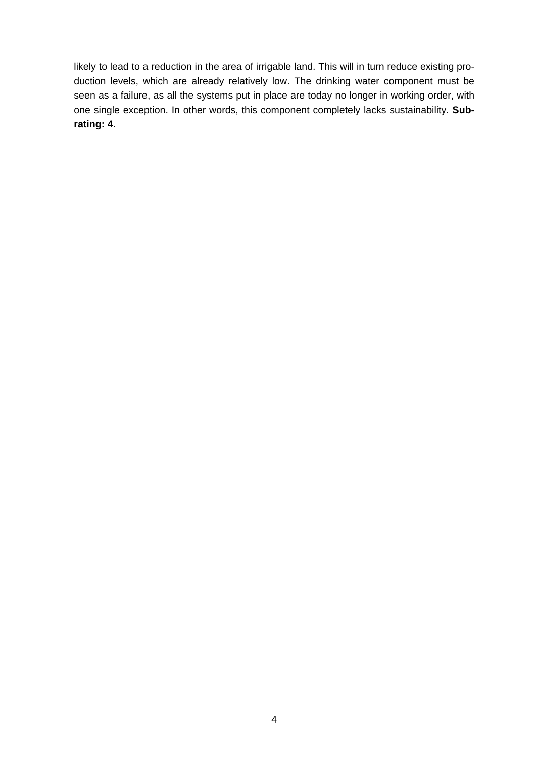likely to lead to a reduction in the area of irrigable land. This will in turn reduce existing production levels, which are already relatively low. The drinking water component must be seen as a failure, as all the systems put in place are today no longer in working order, with one single exception. In other words, this component completely lacks sustainability. **Subrating: 4**.